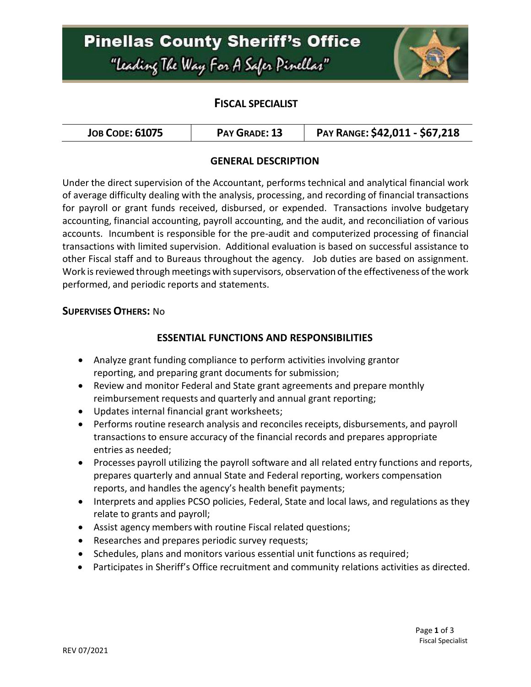## **Pinellas County Sheriff's Office** "Leading The Way For A Safer Pinellar"



### **FISCAL SPECIALIST**

| <b>JOB CODE: 61075</b><br>PAY GRADE: 13 | PAY RANGE: \$42,011 - \$67,218 |
|-----------------------------------------|--------------------------------|
|-----------------------------------------|--------------------------------|

#### **GENERAL DESCRIPTION**

Under the direct supervision of the Accountant, performs technical and analytical financial work of average difficulty dealing with the analysis, processing, and recording of financial transactions for payroll or grant funds received, disbursed, or expended. Transactions involve budgetary accounting, financial accounting, payroll accounting, and the audit, and reconciliation of various accounts. Incumbent is responsible for the pre-audit and computerized processing of financial transactions with limited supervision. Additional evaluation is based on successful assistance to other Fiscal staff and to Bureaus throughout the agency. Job duties are based on assignment. Work is reviewed through meetings with supervisors, observation of the effectiveness of the work performed, and periodic reports and statements.

#### **SUPERVISES OTHERS:** No

#### **ESSENTIAL FUNCTIONS AND RESPONSIBILITIES**

- Analyze grant funding compliance to perform activities involving grantor reporting, and preparing grant documents for submission;
- Review and monitor Federal and State grant agreements and prepare monthly reimbursement requests and quarterly and annual grant reporting;
- Updates internal financial grant worksheets;
- Performs routine research analysis and reconciles receipts, disbursements, and payroll transactions to ensure accuracy of the financial records and prepares appropriate entries as needed;
- Processes payroll utilizing the payroll software and all related entry functions and reports, prepares quarterly and annual State and Federal reporting, workers compensation reports, and handles the agency's health benefit payments;
- Interprets and applies PCSO policies, Federal, State and local laws, and regulations as they relate to grants and payroll;
- Assist agency members with routine Fiscal related questions;
- Researches and prepares periodic survey requests;
- Schedules, plans and monitors various essential unit functions as required;
- Participates in Sheriff's Office recruitment and community relations activities as directed.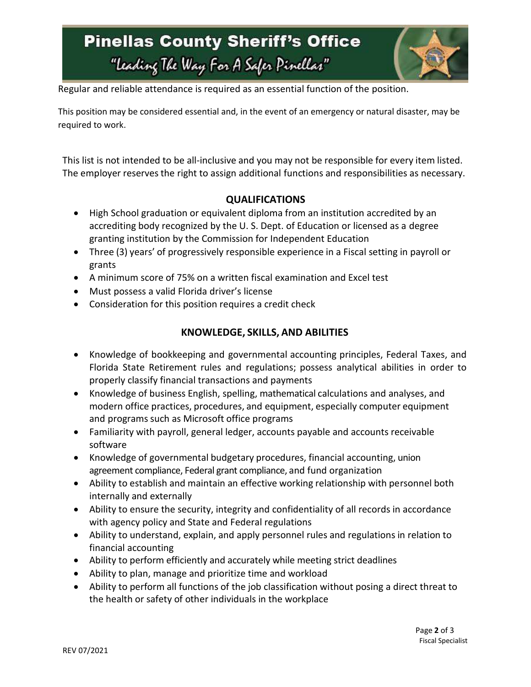# **Pinellas County Sheriff's Office** "Leading The Way For A Safer Pinellas"



Regular and reliable attendance is required as an essential function of the position.

This position may be considered essential and, in the event of an emergency or natural disaster, may be required to work.

This list is not intended to be all-inclusive and you may not be responsible for every item listed. The employer reserves the right to assign additional functions and responsibilities as necessary.

### **QUALIFICATIONS**

- High School graduation or equivalent diploma from an institution accredited by an accrediting body recognized by the U. S. Dept. of Education or licensed as a degree granting institution by the Commission for Independent Education
- Three (3) years' of progressively responsible experience in a Fiscal setting in payroll or grants
- A minimum score of 75% on a written fiscal examination and Excel test
- Must possess a valid Florida driver's license
- Consideration for this position requires a credit check

### **KNOWLEDGE, SKILLS, AND ABILITIES**

- Knowledge of bookkeeping and governmental accounting principles, Federal Taxes, and Florida State Retirement rules and regulations; possess analytical abilities in order to properly classify financial transactions and payments
- Knowledge of business English, spelling, mathematical calculations and analyses, and modern office practices, procedures, and equipment, especially computer equipment and programs such as Microsoft office programs
- Familiarity with payroll, general ledger, accounts payable and accounts receivable software
- Knowledge of governmental budgetary procedures, financial accounting, union agreement compliance, Federal grant compliance, and fund organization
- Ability to establish and maintain an effective working relationship with personnel both internally and externally
- Ability to ensure the security, integrity and confidentiality of all records in accordance with agency policy and State and Federal regulations
- Ability to understand, explain, and apply personnel rules and regulations in relation to financial accounting
- Ability to perform efficiently and accurately while meeting strict deadlines
- Ability to plan, manage and prioritize time and workload
- Ability to perform all functions of the job classification without posing a direct threat to the health or safety of other individuals in the workplace